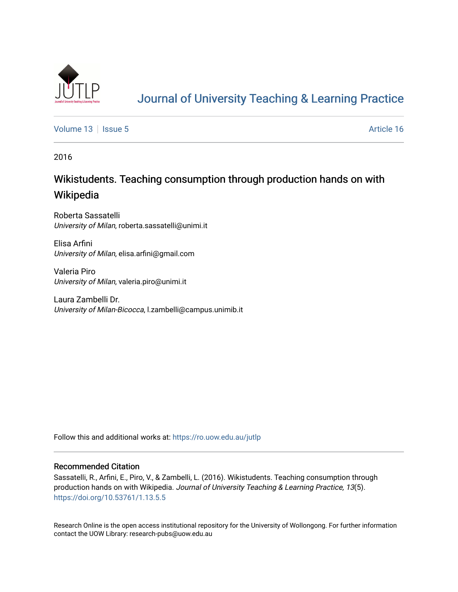

# [Journal of University Teaching & Learning Practice](https://ro.uow.edu.au/jutlp)

[Volume 13](https://ro.uow.edu.au/jutlp/vol13) | [Issue 5](https://ro.uow.edu.au/jutlp/vol13/iss5) Article 16

2016

# Wikistudents. Teaching consumption through production hands on with Wikipedia

Roberta Sassatelli University of Milan, roberta.sassatelli@unimi.it

Elisa Arfini University of Milan, elisa.arfini@gmail.com

Valeria Piro University of Milan, valeria.piro@unimi.it

Laura Zambelli Dr. University of Milan-Bicocca, l.zambelli@campus.unimib.it

Follow this and additional works at: [https://ro.uow.edu.au/jutlp](https://ro.uow.edu.au/jutlp?utm_source=ro.uow.edu.au%2Fjutlp%2Fvol13%2Fiss5%2F16&utm_medium=PDF&utm_campaign=PDFCoverPages) 

#### Recommended Citation

Sassatelli, R., Arfini, E., Piro, V., & Zambelli, L. (2016). Wikistudents. Teaching consumption through production hands on with Wikipedia. Journal of University Teaching & Learning Practice, 13(5). <https://doi.org/10.53761/1.13.5.5>

Research Online is the open access institutional repository for the University of Wollongong. For further information contact the UOW Library: research-pubs@uow.edu.au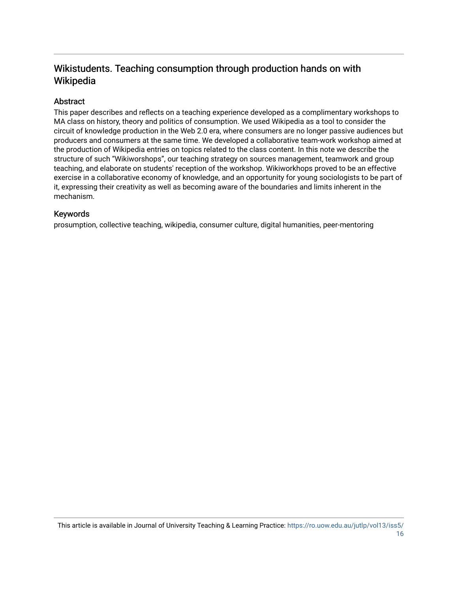# Wikistudents. Teaching consumption through production hands on with Wikipedia

# Abstract

This paper describes and reflects on a teaching experience developed as a complimentary workshops to MA class on history, theory and politics of consumption. We used Wikipedia as a tool to consider the circuit of knowledge production in the Web 2.0 era, where consumers are no longer passive audiences but producers and consumers at the same time. We developed a collaborative team-work workshop aimed at the production of Wikipedia entries on topics related to the class content. In this note we describe the structure of such "Wikiworshops", our teaching strategy on sources management, teamwork and group teaching, and elaborate on students' reception of the workshop. Wikiworkhops proved to be an effective exercise in a collaborative economy of knowledge, and an opportunity for young sociologists to be part of it, expressing their creativity as well as becoming aware of the boundaries and limits inherent in the mechanism.

### Keywords

prosumption, collective teaching, wikipedia, consumer culture, digital humanities, peer-mentoring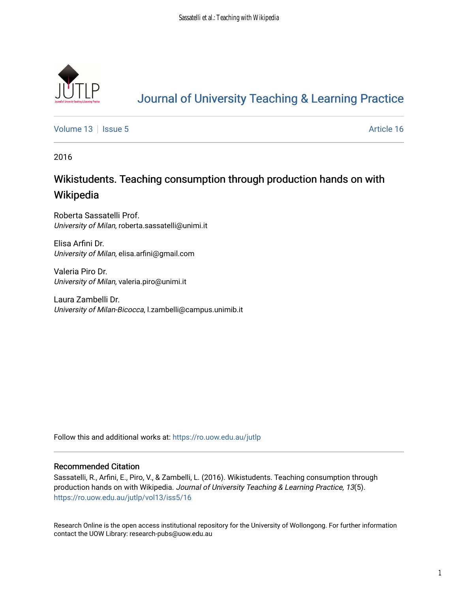

# [Journal of University Teaching & Learning Practice](https://ro.uow.edu.au/jutlp)

[Volume 13](https://ro.uow.edu.au/jutlp/vol13) | [Issue 5](https://ro.uow.edu.au/jutlp/vol13/iss5) Article 16

2016

# Wikistudents. Teaching consumption through production hands on with Wikipedia

Roberta Sassatelli Prof. University of Milan, roberta.sassatelli@unimi.it

Elisa Arfini Dr. University of Milan, elisa.arfini@gmail.com

Valeria Piro Dr. University of Milan, valeria.piro@unimi.it

Laura Zambelli Dr. University of Milan-Bicocca, l.zambelli@campus.unimib.it

Follow this and additional works at: [https://ro.uow.edu.au/jutlp](https://ro.uow.edu.au/jutlp?utm_source=ro.uow.edu.au%2Fjutlp%2Fvol13%2Fiss5%2F16&utm_medium=PDF&utm_campaign=PDFCoverPages) 

### Recommended Citation

Sassatelli, R., Arfini, E., Piro, V., & Zambelli, L. (2016). Wikistudents. Teaching consumption through production hands on with Wikipedia. Journal of University Teaching & Learning Practice, 13(5). [https://ro.uow.edu.au/jutlp/vol13/iss5/16](https://ro.uow.edu.au/jutlp/vol13/iss5/16?utm_source=ro.uow.edu.au%2Fjutlp%2Fvol13%2Fiss5%2F16&utm_medium=PDF&utm_campaign=PDFCoverPages)

Research Online is the open access institutional repository for the University of Wollongong. For further information contact the UOW Library: research-pubs@uow.edu.au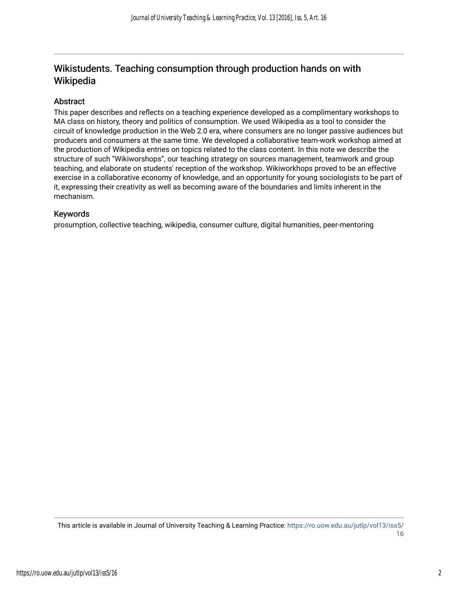# Wikistudents. Teaching consumption through production hands on with Wikipedia

## Abstract

This paper describes and reflects on a teaching experience developed as a complimentary workshops to MA class on history, theory and politics of consumption. We used Wikipedia as a tool to consider the circuit of knowledge production in the Web 2.0 era, where consumers are no longer passive audiences but producers and consumers at the same time. We developed a collaborative team-work workshop aimed at the production of Wikipedia entries on topics related to the class content. In this note we describe the structure of such "Wikiworshops", our teaching strategy on sources management, teamwork and group teaching, and elaborate on students' reception of the workshop. Wikiworkhops proved to be an effective exercise in a collaborative economy of knowledge, and an opportunity for young sociologists to be part of it, expressing their creativity as well as becoming aware of the boundaries and limits inherent in the mechanism.

### Keywords

prosumption, collective teaching, wikipedia, consumer culture, digital humanities, peer-mentoring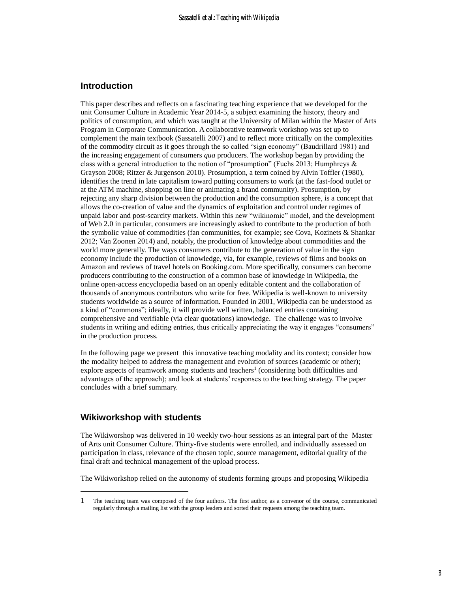#### **Introduction**

This paper describes and reflects on a fascinating teaching experience that we developed for the unit Consumer Culture in Academic Year 2014-5, a subject examining the history, theory and politics of consumption, and which was taught at the University of Milan within the Master of Arts Program in Corporate Communication. A collaborative teamwork workshop was set up to complement the main textbook (Sassatelli 2007) and to reflect more critically on the complexities of the commodity circuit as it goes through the so called "sign economy" (Baudrillard 1981) and the increasing engagement of consumers *qua* producers. The workshop began by providing the class with a general introduction to the notion of "prosumption" (Fuchs 2013; Humphreys & Grayson 2008; Ritzer & Jurgenson 2010). Prosumption, a term coined by Alvin Toffler (1980), identifies the trend in late capitalism toward putting consumers to work (at the fast-food outlet or at the ATM machine, shopping on line or animating a brand community). Prosumption, by rejecting any sharp division between the production and the consumption sphere, is a concept that allows the co-creation of value and the dynamics of exploitation and control under regimes of unpaid labor and post-scarcity markets. Within this new "wikinomic" model, and the development of Web 2.0 in particular, consumers are increasingly asked to contribute to the production of both the symbolic value of commodities (fan communities, for example; see Cova, Kozinets & Shankar 2012; Van Zoonen 2014) and, notably, the production of knowledge about commodities and the world more generally. The ways consumers contribute to the generation of value in the sign economy include the production of knowledge, via, for example, reviews of films and books on Amazon and reviews of travel hotels on Booking.com. More specifically, consumers can become producers contributing to the construction of a common base of knowledge in Wikipedia, the online open-access encyclopedia based on an openly editable content and the collaboration of thousands of anonymous contributors who write for free. Wikipedia is well-known to university students worldwide as a source of information. Founded in 2001, Wikipedia can be understood as a kind of "commons"; ideally, it will provide well written, balanced entries containing comprehensive and verifiable (via clear quotations) knowledge. The challenge was to involve students in writing and editing entries, thus critically appreciating the way it engages "consumers" in the production process.

In the following page we present this innovative teaching modality and its context; consider how the modality helped to address the management and evolution of sources (academic or other); explore aspects of teamwork among students and teachers<sup>1</sup> (considering both difficulties and advantages of the approach); and look at students' responses to the teaching strategy. The paper concludes with a brief summary.

#### **Wikiworkshop with students**

 $\overline{a}$ 

The Wikiworshop was delivered in 10 weekly two-hour sessions as an integral part of the Master of Arts unit Consumer Culture. Thirty-five students were enrolled, and individually assessed on participation in class, relevance of the chosen topic, source management, editorial quality of the final draft and technical management of the upload process.

The Wikiworkshop relied on the autonomy of students forming groups and proposing Wikipedia

<sup>1</sup> The teaching team was composed of the four authors. The first author, as a convenor of the course, communicated regularly through a mailing list with the group leaders and sorted their requests among the teaching team.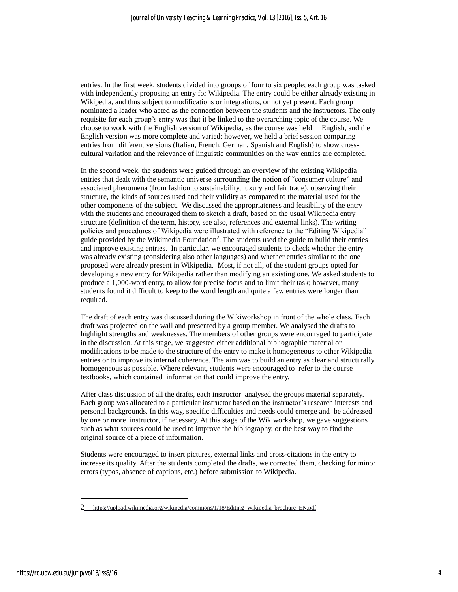entries. In the first week, students divided into groups of four to six people; each group was tasked with independently proposing an entry for Wikipedia. The entry could be either already existing in Wikipedia, and thus subject to modifications or integrations, or not yet present. Each group nominated a leader who acted as the connection between the students and the instructors. The only requisite for each group's entry was that it be linked to the overarching topic of the course. We choose to work with the English version of Wikipedia, as the course was held in English, and the English version was more complete and varied; however, we held a brief session comparing entries from different versions (Italian, French, German, Spanish and English) to show crosscultural variation and the relevance of linguistic communities on the way entries are completed.

In the second week, the students were guided through an overview of the existing Wikipedia entries that dealt with the semantic universe surrounding the notion of "consumer culture" and associated phenomena (from fashion to sustainability, luxury and fair trade), observing their structure, the kinds of sources used and their validity as compared to the material used for the other components of the subject. We discussed the appropriateness and feasibility of the entry with the students and encouraged them to sketch a draft, based on the usual Wikipedia entry structure (definition of the term, history, see also, references and external links). The writing policies and procedures of Wikipedia were illustrated with reference to the "Editing Wikipedia" guide provided by the Wikimedia Foundation<sup>2</sup>. The students used the guide to build their entries and improve existing entries. In particular, we encouraged students to check whether the entry was already existing (considering also other languages) and whether entries similar to the one proposed were already present in Wikipedia. Most, if not all, of the student groups opted for developing a new entry for Wikipedia rather than modifying an existing one. We asked students to produce a 1,000-word entry, to allow for precise focus and to limit their task; however, many students found it difficult to keep to the word length and quite a few entries were longer than required.

The draft of each entry was discussed during the Wikiworkshop in front of the whole class. Each draft was projected on the wall and presented by a group member. We analysed the drafts to highlight strengths and weaknesses. The members of other groups were encouraged to participate in the discussion. At this stage, we suggested either additional bibliographic material or modifications to be made to the structure of the entry to make it homogeneous to other Wikipedia entries or to improve its internal coherence. The aim was to build an entry as clear and structurally homogeneous as possible. Where relevant, students were encouraged to refer to the course textbooks, which contained information that could improve the entry.

After class discussion of all the drafts, each instructor analysed the groups material separately. Each group was allocated to a particular instructor based on the instructor's research interests and personal backgrounds. In this way, specific difficulties and needs could emerge and be addressed by one or more instructor, if necessary. At this stage of the Wikiworkshop, we gave suggestions such as what sources could be used to improve the bibliography, or the best way to find the original source of a piece of information.

Students were encouraged to insert pictures, external links and cross-citations in the entry to increase its quality. After the students completed the drafts, we corrected them, checking for minor errors (typos, absence of captions, etc.) before submission to Wikipedia.

 $\overline{a}$ 

<sup>2</sup> [https://upload.wikimedia.org/wikipedia/commons/1/18/Editing\\_Wikipedia\\_brochure\\_EN.pdf.](https://upload.wikimedia.org/wikipedia/commons/1/18/Editing_Wikipedia_brochure_EN.pdf)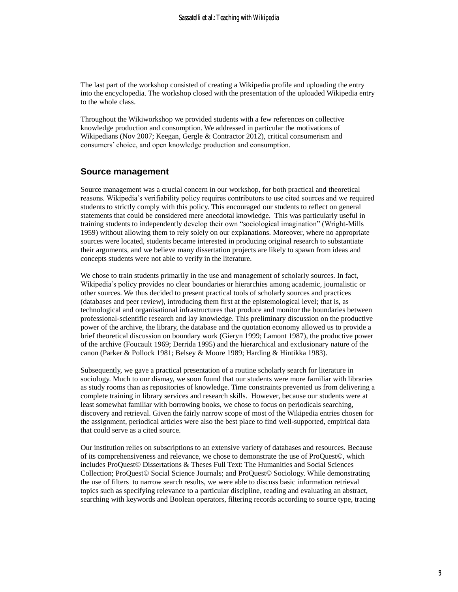The last part of the workshop consisted of creating a Wikipedia profile and uploading the entry into the encyclopedia. The workshop closed with the presentation of the uploaded Wikipedia entry to the whole class.

Throughout the Wikiworkshop we provided students with a few references on collective knowledge production and consumption. We addressed in particular the motivations of Wikipedians (Nov 2007; Keegan, Gergle & Contractor 2012), critical consumerism and consumers' choice, and open knowledge production and consumption.

### **Source management**

Source management was a crucial concern in our workshop, for both practical and theoretical reasons. Wikipedia's verifiability policy requires contributors to use cited sources and we required students to strictly comply with this policy. This encouraged our students to reflect on general statements that could be considered mere anecdotal knowledge. This was particularly useful in training students to independently develop their own "sociological imagination" (Wright-Mills 1959) without allowing them to rely solely on our explanations. Moreover, where no appropriate sources were located, students became interested in producing original research to substantiate their arguments, and we believe many dissertation projects are likely to spawn from ideas and concepts students were not able to verify in the literature.

We chose to train students primarily in the use and management of scholarly sources. In fact, Wikipedia's policy provides no clear boundaries or hierarchies among academic, journalistic or other sources. We thus decided to present practical tools of scholarly sources and practices (databases and peer review), introducing them first at the epistemological level; that is, as technological and organisational infrastructures that produce and monitor the boundaries between professional-scientific research and lay knowledge. This preliminary discussion on the productive power of the archive, the library, the database and the quotation economy allowed us to provide a brief theoretical discussion on boundary work (Gieryn 1999; Lamont 1987), the productive power of the archive (Foucault 1969; Derrida 1995) and the hierarchical and exclusionary nature of the canon (Parker & Pollock 1981; Belsey & Moore 1989; Harding & Hintikka 1983).

Subsequently, we gave a practical presentation of a routine scholarly search for literature in sociology. Much to our dismay, we soon found that our students were more familiar with libraries as study rooms than as repositories of knowledge. Time constraints prevented us from delivering a complete training in library services and research skills. However, because our students were at least somewhat familiar with borrowing books, we chose to focus on periodicals searching, discovery and retrieval. Given the fairly narrow scope of most of the Wikipedia entries chosen for the assignment, periodical articles were also the best place to find well-supported, empirical data that could serve as a cited source.

Our institution relies on subscriptions to an extensive variety of databases and resources. Because of its comprehensiveness and relevance, we chose to demonstrate the use of ProQuest©, which includes ProQuest© Dissertations & Theses Full Text: The Humanities and Social Sciences Collection; ProQuest© Social Science Journals; and ProQuest© Sociology. While demonstrating the use of filters to narrow search results, we were able to discuss basic information retrieval topics such as specifying relevance to a particular discipline, reading and evaluating an abstract, searching with keywords and Boolean operators, filtering records according to source type, tracing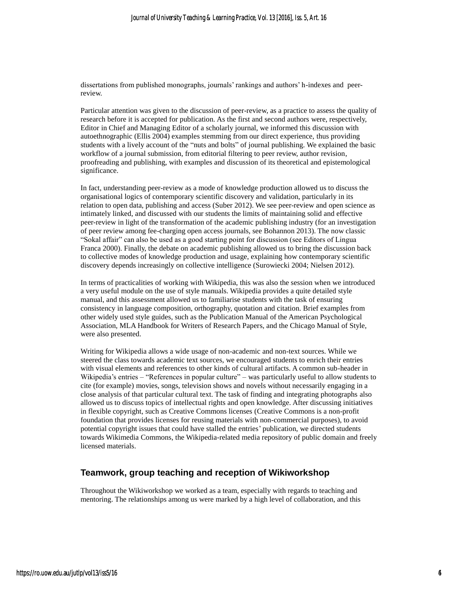dissertations from published monographs, journals' rankings and authors' h-indexes and peerreview.

Particular attention was given to the discussion of peer-review, as a practice to assess the quality of research before it is accepted for publication. As the first and second authors were, respectively, Editor in Chief and Managing Editor of a scholarly journal, we informed this discussion with autoethnographic (Ellis 2004) examples stemming from our direct experience, thus providing students with a lively account of the "nuts and bolts" of journal publishing. We explained the basic workflow of a journal submission, from editorial filtering to peer review, author revision, proofreading and publishing, with examples and discussion of its theoretical and epistemological significance.

In fact, understanding peer-review as a mode of knowledge production allowed us to discuss the organisational logics of contemporary scientific discovery and validation, particularly in its relation to open data, publishing and access (Suber 2012). We see peer-review and open science as intimately linked, and discussed with our students the limits of maintaining solid and effective peer-review in light of the transformation of the academic publishing industry (for an investigation of peer review among fee-charging open access journals, see Bohannon 2013). The now classic "Sokal affair" can also be used as a good starting point for discussion (see Editors of Lingua Franca 2000). Finally, the debate on academic publishing allowed us to bring the discussion back to collective modes of knowledge production and usage, explaining how contemporary scientific discovery depends increasingly on collective intelligence (Surowiecki 2004; Nielsen 2012).

In terms of practicalities of working with Wikipedia, this was also the session when we introduced a very useful module on the use of style manuals. Wikipedia provides a quite detailed style manual, and this assessment allowed us to familiarise students with the task of ensuring consistency in language composition, orthography, quotation and citation. Brief examples from other widely used style guides, such as the Publication Manual of the American Psychological Association, MLA Handbook for Writers of Research Papers, and the Chicago Manual of Style, were also presented.

Writing for Wikipedia allows a wide usage of non-academic and non-text sources. While we steered the class towards academic text sources, we encouraged students to enrich their entries with visual elements and references to other kinds of cultural artifacts. A common sub-header in Wikipedia's entries – "References in popular culture" – was particularly useful to allow students to cite (for example) movies, songs, television shows and novels without necessarily engaging in a close analysis of that particular cultural text. The task of finding and integrating photographs also allowed us to discuss topics of intellectual rights and open knowledge. After discussing initiatives in flexible copyright, such as Creative Commons licenses (Creative Commons is a non-profit foundation that provides licenses for reusing materials with non-commercial purposes), to avoid potential copyright issues that could have stalled the entries' publication, we directed students towards Wikimedia Commons, the Wikipedia-related media repository of public domain and freely licensed materials.

### **Teamwork, group teaching and reception of Wikiworkshop**

Throughout the Wikiworkshop we worked as a team, especially with regards to teaching and mentoring. The relationships among us were marked by a high level of collaboration, and this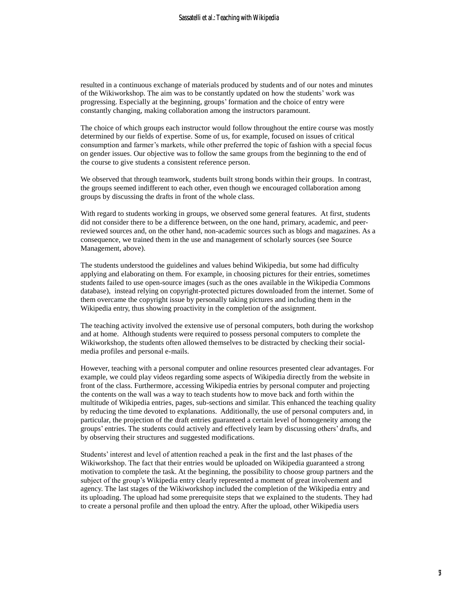resulted in a continuous exchange of materials produced by students and of our notes and minutes of the Wikiworkshop. The aim was to be constantly updated on how the students' work was progressing. Especially at the beginning, groups' formation and the choice of entry were constantly changing, making collaboration among the instructors paramount.

The choice of which groups each instructor would follow throughout the entire course was mostly determined by our fields of expertise. Some of us, for example, focused on issues of critical consumption and farmer's markets, while other preferred the topic of fashion with a special focus on gender issues. Our objective was to follow the same groups from the beginning to the end of the course to give students a consistent reference person.

We observed that through teamwork, students built strong bonds within their groups. In contrast, the groups seemed indifferent to each other, even though we encouraged collaboration among groups by discussing the drafts in front of the whole class.

With regard to students working in groups, we observed some general features. At first, students did not consider there to be a difference between, on the one hand, primary, academic, and peerreviewed sources and, on the other hand, non-academic sources such as blogs and magazines. As a consequence, we trained them in the use and management of scholarly sources (see Source Management, above).

The students understood the guidelines and values behind Wikipedia, but some had difficulty applying and elaborating on them. For example, in choosing pictures for their entries, sometimes students failed to use open-source images (such as the ones available in the Wikipedia Commons database), instead relying on copyright-protected pictures downloaded from the internet. Some of them overcame the copyright issue by personally taking pictures and including them in the Wikipedia entry, thus showing proactivity in the completion of the assignment.

The teaching activity involved the extensive use of personal computers, both during the workshop and at home. Although students were required to possess personal computers to complete the Wikiworkshop, the students often allowed themselves to be distracted by checking their socialmedia profiles and personal e-mails.

However, teaching with a personal computer and online resources presented clear advantages. For example, we could play videos regarding some aspects of Wikipedia directly from the website in front of the class. Furthermore, accessing Wikipedia entries by personal computer and projecting the contents on the wall was a way to teach students how to move back and forth within the multitude of Wikipedia entries, pages, sub-sections and similar. This enhanced the teaching quality by reducing the time devoted to explanations. Additionally, the use of personal computers and, in particular, the projection of the draft entries guaranteed a certain level of homogeneity among the groups' entries. The students could actively and effectively learn by discussing others' drafts, and by observing their structures and suggested modifications.

Students' interest and level of attention reached a peak in the first and the last phases of the Wikiworkshop. The fact that their entries would be uploaded on Wikipedia guaranteed a strong motivation to complete the task. At the beginning, the possibility to choose group partners and the subject of the group's Wikipedia entry clearly represented a moment of great involvement and agency. The last stages of the Wikiworkshop included the completion of the Wikipedia entry and its uploading. The upload had some prerequisite steps that we explained to the students. They had to create a personal profile and then upload the entry. After the upload, other Wikipedia users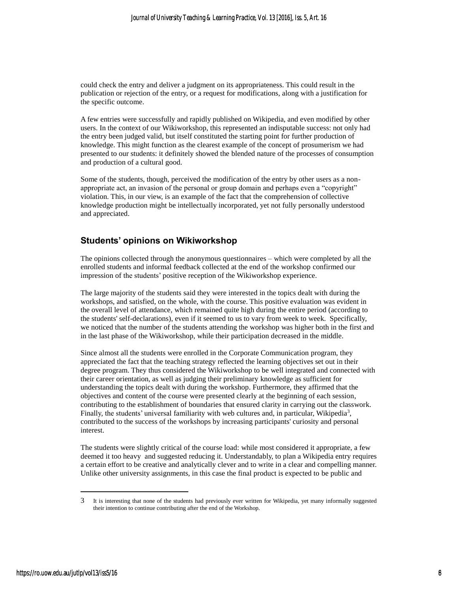could check the entry and deliver a judgment on its appropriateness. This could result in the publication or rejection of the entry, or a request for modifications, along with a justification for the specific outcome.

A few entries were successfully and rapidly published on Wikipedia, and even modified by other users. In the context of our Wikiworkshop, this represented an indisputable success: not only had the entry been judged valid, but itself constituted the starting point for further production of knowledge. This might function as the clearest example of the concept of prosumerism we had presented to our students: it definitely showed the blended nature of the processes of consumption and production of a cultural good.

Some of the students, though, perceived the modification of the entry by other users as a nonappropriate act, an invasion of the personal or group domain and perhaps even a "copyright" violation. This, in our view, is an example of the fact that the comprehension of collective knowledge production might be intellectually incorporated, yet not fully personally understood and appreciated.

## **Students' opinions on Wikiworkshop**

The opinions collected through the anonymous questionnaires – which were completed by all the enrolled students and informal feedback collected at the end of the workshop confirmed our impression of the students' positive reception of the Wikiworkshop experience.

The large majority of the students said they were interested in the topics dealt with during the workshops, and satisfied, on the whole, with the course. This positive evaluation was evident in the overall level of attendance, which remained quite high during the entire period (according to the students' self-declarations), even if it seemed to us to vary from week to week. Specifically, we noticed that the number of the students attending the workshop was higher both in the first and in the last phase of the Wikiworkshop, while their participation decreased in the middle.

Since almost all the students were enrolled in the Corporate Communication program*,* they appreciated the fact that the teaching strategy reflected the learning objectives set out in their degree program. They thus considered the Wikiworkshop to be well integrated and connected with their career orientation, as well as judging their preliminary knowledge as sufficient for understanding the topics dealt with during the workshop. Furthermore, they affirmed that the objectives and content of the course were presented clearly at the beginning of each session, contributing to the establishment of boundaries that ensured clarity in carrying out the classwork. Finally, the students' universal familiarity with web cultures and, in particular, Wikipedia<sup>3</sup>, contributed to the success of the workshops by increasing participants' curiosity and personal interest.

The students were slightly critical of the course load: while most considered it appropriate, a few deemed it too heavy and suggested reducing it. Understandably, to plan a Wikipedia entry requires a certain effort to be creative and analytically clever and to write in a clear and compelling manner. Unlike other university assignments, in this case the final product is expected to be public and

 $\overline{a}$ 

<sup>3</sup> It is interesting that none of the students had previously ever written for Wikipedia, yet many informally suggested their intention to continue contributing after the end of the Workshop.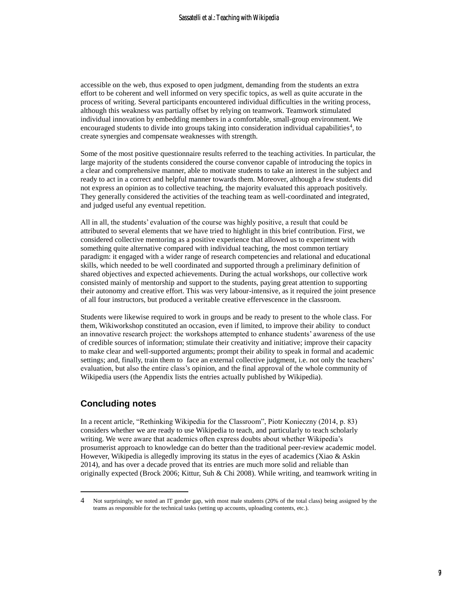accessible on the web, thus exposed to open judgment, demanding from the students an extra effort to be coherent and well informed on very specific topics, as well as quite accurate in the process of writing. Several participants encountered individual difficulties in the writing process, although this weakness was partially offset by relying on teamwork. Teamwork stimulated individual innovation by embedding members in a comfortable, small-group environment. We encouraged students to divide into groups taking into consideration individual capabilities<sup>4</sup>, to create synergies and compensate weaknesses with strength.

Some of the most positive questionnaire results referred to the teaching activities. In particular, the large majority of the students considered the course convenor capable of introducing the topics in a clear and comprehensive manner, able to motivate students to take an interest in the subject and ready to act in a correct and helpful manner towards them. Moreover, although a few students did not express an opinion as to collective teaching, the majority evaluated this approach positively. They generally considered the activities of the teaching team as well-coordinated and integrated, and judged useful any eventual repetition.

All in all, the students' evaluation of the course was highly positive, a result that could be attributed to several elements that we have tried to highlight in this brief contribution. First, we considered collective mentoring as a positive experience that allowed us to experiment with something quite alternative compared with individual teaching, the most common tertiary paradigm: it engaged with a wider range of research competencies and relational and educational skills, which needed to be well coordinated and supported through a preliminary definition of shared objectives and expected achievements. During the actual workshops, our collective work consisted mainly of mentorship and support to the students, paying great attention to supporting their autonomy and creative effort. This was very labour-intensive, as it required the joint presence of all four instructors, but produced a veritable creative effervescence in the classroom.

Students were likewise required to work in groups and be ready to present to the whole class. For them, Wikiworkshop constituted an occasion, even if limited, to improve their ability to conduct an innovative research project: the workshops attempted to enhance students' awareness of the use of credible sources of information; stimulate their creativity and initiative; improve their capacity to make clear and well-supported arguments; prompt their ability to speak in formal and academic settings; and, finally, train them to face an external collective judgment, i.e. not only the teachers' evaluation, but also the entire class's opinion, and the final approval of the whole community of Wikipedia users (the Appendix lists the entries actually published by Wikipedia).

## **Concluding notes**

 $\overline{a}$ 

In a recent article, "Rethinking Wikipedia for the Classroom", Piotr Konieczny (2014, p. 83) considers whether we are ready to use Wikipedia to teach, and particularly to teach scholarly writing. We were aware that academics often express doubts about whether Wikipedia's prosumerist approach to knowledge can do better than the traditional peer-review academic model. However, Wikipedia is allegedly improving its status in the eyes of academics (Xiao  $\&$  Askin 2014), and has over a decade proved that its entries are much more solid and reliable than originally expected (Brock 2006; Kittur, Suh & Chi 2008). While writing, and teamwork writing in

<sup>4</sup> Not surprisingly, we noted an IT gender gap, with most male students (20% of the total class) being assigned by the teams as responsible for the technical tasks (setting up accounts, uploading contents, etc.).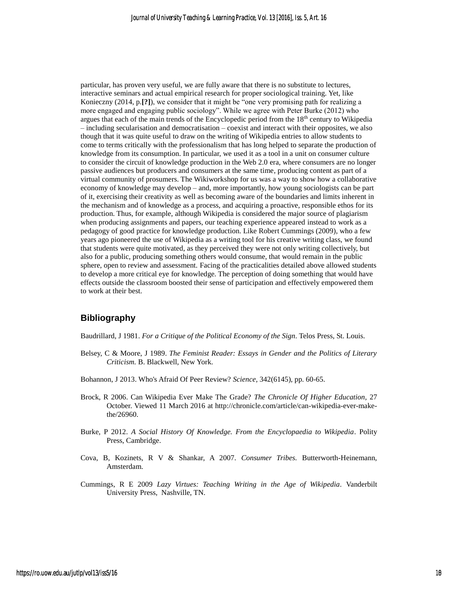particular, has proven very useful, we are fully aware that there is no substitute to lectures, interactive seminars and actual empirical research for proper sociological training. Yet, like Konieczny (2014, p.**[?]**), we consider that it might be "one very promising path for realizing a more engaged and engaging public sociology". While we agree with Peter Burke (2012) who argues that each of the main trends of the Encyclopedic period from the 18th century to Wikipedia – including secularisation and democratisation – coexist and interact with their opposites, we also though that it was quite useful to draw on the writing of Wikipedia entries to allow students to come to terms critically with the professionalism that has long helped to separate the production of knowledge from its consumption. In particular, we used it as a tool in a unit on consumer culture to consider the circuit of knowledge production in the Web 2.0 era, where consumers are no longer passive audiences but producers and consumers at the same time, producing content as part of a virtual community of prosumers. The Wikiworkshop for us was a way to show how a collaborative economy of knowledge may develop – and, more importantly, how young sociologists can be part of it, exercising their creativity as well as becoming aware of the boundaries and limits inherent in the mechanism and of knowledge as a process, and acquiring a proactive, responsible ethos for its production. Thus, for example, although Wikipedia is considered the major source of plagiarism when producing assignments and papers, our teaching experience appeared instead to work as a pedagogy of good practice for knowledge production. Like Robert Cummings (2009), who a few years ago pioneered the use of Wikipedia as a writing tool for his creative writing class, we found that students were quite motivated, as they perceived they were not only writing collectively, but also for a public, producing something others would consume, that would remain in the public sphere, open to review and assessment. Facing of the practicalities detailed above allowed students to develop a more critical eye for knowledge. The perception of doing something that would have effects outside the classroom boosted their sense of participation and effectively empowered them to work at their best.

### **Bibliography**

Baudrillard, J 1981. *For a Critique of the Political Economy of the Sign.* Telos Press, St. Louis.

- Belsey, C & Moore, J 1989. *The Feminist Reader: Essays in Gender and the Politics of Literary Criticism.* B. Blackwell, New York.
- Bohannon, J 2013. Who's Afraid Of Peer Review? *Science,* 342(6145), pp. 60-65.
- Brock, R 2006. Can Wikipedia Ever Make The Grade? *The Chronicle Of Higher Education*, 27 October. Viewed 11 March 2016 at http://chronicle.com/article/can-wikipedia-ever-makethe/26960.
- Burke, P 2012. *A Social History Of Knowledge. From the Encyclopaedia to Wikipedia*. Polity Press, Cambridge.
- Cova, B, Kozinets, R V & Shankar, A 2007. *Consumer Tribes.* Butterworth-Heinemann, Amsterdam.
- Cummings, R E 2009 *Lazy Virtues: Teaching Writing in the Age of Wikipedia.* Vanderbilt University Press, Nashville, TN.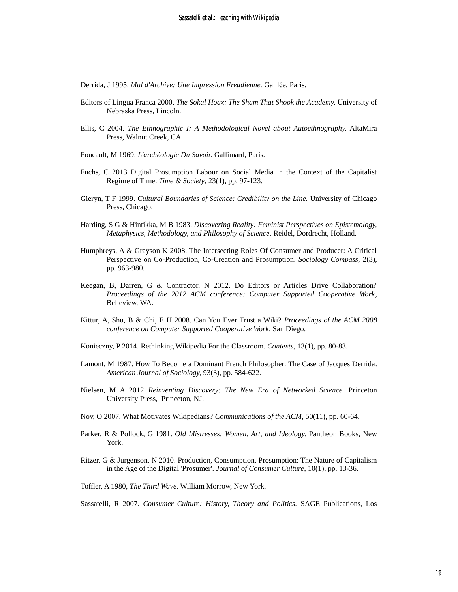Derrida, J 1995. *Mal d'Archive: Une Impression Freudienne.* Galilée, Paris.

- Editors of Lingua Franca 2000. *The Sokal Hoax: The Sham That Shook the Academy.* University of Nebraska Press, Lincoln.
- Ellis, C 2004. *The Ethnographic I: A Methodological Novel about Autoethnography.* AltaMira Press, Walnut Creek, CA.
- Foucault, M 1969. *L'archéologie Du Savoir.* Gallimard, Paris.
- Fuchs, C 2013 Digital Prosumption Labour on Social Media in the Context of the Capitalist Regime of Time. *Time & Society*, 23(1), pp. 97-123.
- Gieryn, T F 1999. *Cultural Boundaries of Science: Credibility on the Line.* University of Chicago Press, Chicago.
- Harding, S G & Hintikka, M B 1983. *Discovering Reality: Feminist Perspectives on Epistemology, Metaphysics, Methodology, and Philosophy of Science.* Reidel, Dordrecht, Holland.
- Humphreys, A & Grayson K 2008. The Intersecting Roles Of Consumer and Producer: A Critical Perspective on Co-Production, Co-Creation and Prosumption. *Sociology Compass*, 2(3), pp. 963-980.
- Keegan, B, Darren, G & Contractor, N 2012. Do Editors or Articles Drive Collaboration? *Proceedings of the 2012 ACM conference: Computer Supported Cooperative Work*, Belleview, WA.
- Kittur, A, Shu, B & Chi, E H 2008. Can You Ever Trust a Wiki? *Proceedings of the ACM 2008 conference on Computer Supported Cooperative Work*, San Diego.
- Konieczny, P 2014. Rethinking Wikipedia For the Classroom. *Contexts*, 13(1), pp. 80-83.
- Lamont, M 1987. How To Become a Dominant French Philosopher: The Case of Jacques Derrida. *American Journal of Sociology,* 93(3), pp. 584-622.
- Nielsen, M A 2012 *Reinventing Discovery: The New Era of Networked Science.* Princeton University Press, Princeton, NJ.
- Nov, O 2007. What Motivates Wikipedians? *Communications of the ACM,* 50(11), pp. 60-64.
- Parker, R & Pollock, G 1981. *Old Mistresses: Women, Art, and Ideology.* Pantheon Books, New York.
- Ritzer, G & Jurgenson, N 2010. Production, Consumption, Prosumption: The Nature of Capitalism in the Age of the Digital 'Prosumer'. *Journal of Consumer Culture*, 10(1), pp. 13-36.
- Toffler, A 1980, *The Third Wave.* William Morrow, New York.
- Sassatelli, R 2007. *Consumer Culture: History, Theory and Politics.* SAGE Publications, Los